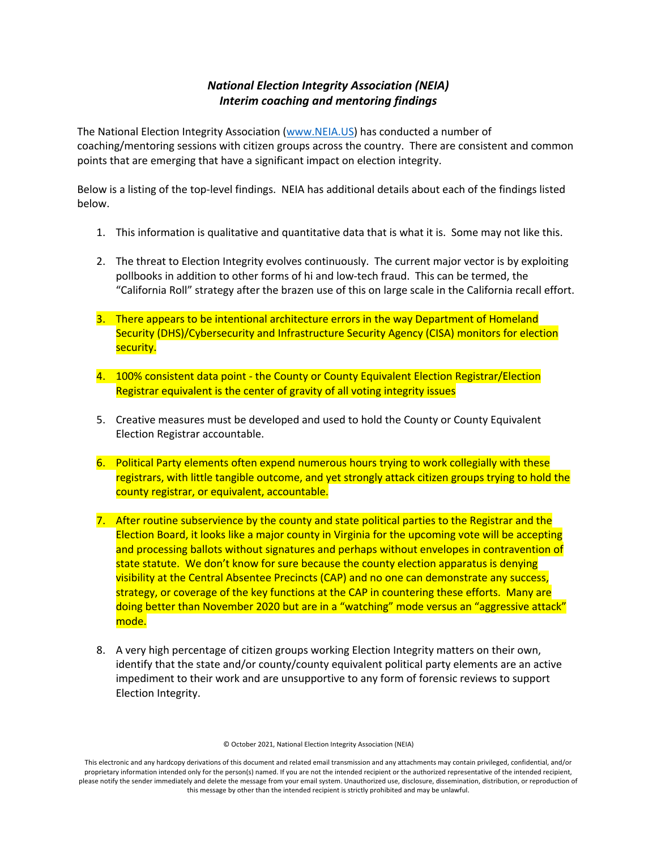## *National Election Integrity Association (NEIA) Interim coaching and mentoring findings*

The National Election Integrity Association (www.NEIA.US) has conducted a number of coaching/mentoring sessions with citizen groups across the country. There are consistent and common points that are emerging that have a significant impact on election integrity.

Below is a listing of the top-level findings. NEIA has additional details about each of the findings listed below.

- 1. This information is qualitative and quantitative data that is what it is. Some may not like this.
- 2. The threat to Election Integrity evolves continuously. The current major vector is by exploiting pollbooks in addition to other forms of hi and low-tech fraud. This can be termed, the "California Roll" strategy after the brazen use of this on large scale in the California recall effort.
- 3. There appears to be intentional architecture errors in the way Department of Homeland Security (DHS)/Cybersecurity and Infrastructure Security Agency (CISA) monitors for election security.
- 4. 100% consistent data point the County or County Equivalent Election Registrar/Election Registrar equivalent is the center of gravity of all voting integrity issues
- 5. Creative measures must be developed and used to hold the County or County Equivalent Election Registrar accountable.
- 6. Political Party elements often expend numerous hours trying to work collegially with these registrars, with little tangible outcome, and yet strongly attack citizen groups trying to hold the county registrar, or equivalent, accountable.
- 7. After routine subservience by the county and state political parties to the Registrar and the Election Board, it looks like a major county in Virginia for the upcoming vote will be accepting and processing ballots without signatures and perhaps without envelopes in contravention of state statute. We don't know for sure because the county election apparatus is denying visibility at the Central Absentee Precincts (CAP) and no one can demonstrate any success, strategy, or coverage of the key functions at the CAP in countering these efforts. Many are doing better than November 2020 but are in a "watching" mode versus an "aggressive attack" mode.
- 8. A very high percentage of citizen groups working Election Integrity matters on their own, identify that the state and/or county/county equivalent political party elements are an active impediment to their work and are unsupportive to any form of forensic reviews to support Election Integrity.

© October 2021, National Election Integrity Association (NEIA)

This electronic and any hardcopy derivations of this document and related email transmission and any attachments may contain privileged, confidential, and/or proprietary information intended only for the person(s) named. If you are not the intended recipient or the authorized representative of the intended recipient, please notify the sender immediately and delete the message from your email system. Unauthorized use, disclosure, dissemination, distribution, or reproduction of this message by other than the intended recipient is strictly prohibited and may be unlawful.